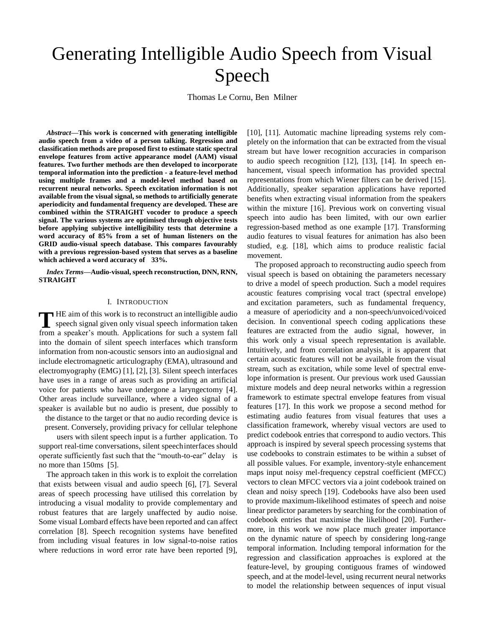# Generating Intelligible Audio Speech from Visual Speech

Thomas Le Cornu, Ben Milner

*Abstract***—This work is concerned with generating intelligible audio speech from a video of a person talking. Regression and classification methods are proposed first to estimate static spectral envelope features from active appearance model (AAM) visual features. Two further methods are then developed to incorporate temporal information into the prediction - a feature-level method using multiple frames and a model-level method based on recurrent neural networks. Speech excitation information is not available from the visual signal, so methods to artificially generate aperiodicity and fundamental frequency are developed. These are combined within the STRAIGHT vocoder to produce a speech signal. The various systems are optimised through objective tests before applying subjective intelligibility tests that determine a word accuracy of 85% from a set of human listeners on the GRID audio-visual speech database. This compares favourably with a previous regression-based system that serves as a baseline which achieved a word accuracy of 33%.**

*Index Terms***—Audio-visual, speech reconstruction, DNN, RNN, STRAIGHT**

#### I. INTRODUCTION

**T**HE aim of this work is to reconstruct an intelligible audio<br>
speech signal given only visual speech information taken<br>
face a graph of antispeech signal given only visual speech information taken from a speaker's mouth. Applications for such a system fall into the domain of silent speech interfaces which transform information from non-acoustic sensors into an audiosignal and include electromagnetic articulography (EMA), ultrasound and electromyography (EMG) [1], [2], [3]. Silent speech interfaces have uses in a range of areas such as providing an artificial voice for patients who have undergone a laryngectomy [4]. Other areas include surveillance, where a video signal of a speaker is available but no audio is present, due possibly to the distance to the target or that no audio recording device is present. Conversely, providing privacy for cellular telephone

users with silent speech input is a further application. To support real-time conversations, silent speechinterfaces should operate sufficiently fast such that the "mouth-to-ear" delay is no more than 150ms [5].

The approach taken in this work is to exploit the correlation that exists between visual and audio speech [6], [7]. Several areas of speech processing have utilised this correlation by introducing a visual modality to provide complementary and robust features that are largely unaffected by audio noise. Some visual Lombard effects have been reported and can affect correlation [8]. Speech recognition systems have benefited from including visual features in low signal-to-noise ratios where reductions in word error rate have been reported [9], [10], [11]. Automatic machine lipreading systems rely completely on the information that can be extracted from the visual stream but have lower recognition accuracies in comparison to audio speech recognition [12], [13], [14]. In speech enhancement, visual speech information has provided spectral representations from which Wiener filters can be derived [15]. Additionally, speaker separation applications have reported benefits when extracting visual information from the speakers within the mixture [16]. Previous work on converting visual speech into audio has been limited, with our own earlier regression-based method as one example [17]. Transforming audio features to visual features for animation has also been studied, e.g. [18], which aims to produce realistic facial movement.

The proposed approach to reconstructing audio speech from visual speech is based on obtaining the parameters necessary to drive a model of speech production. Such a model requires acoustic features comprising vocal tract (spectral envelope) and excitation parameters, such as fundamental frequency, a measure of aperiodicity and a non-speech/unvoiced/voiced decision. In conventional speech coding applications these features are extracted from the audio signal, however, in this work only a visual speech representation is available. Intuitively, and from correlation analysis, it is apparent that certain acoustic features will not be available from the visual stream, such as excitation, while some level of spectral envelope information is present. Our previous work used Gaussian mixture models and deep neural networks within a regression framework to estimate spectral envelope features from visual features [17]. In this work we propose a second method for estimating audio features from visual features that uses a classification framework, whereby visual vectors are used to predict codebook entries that correspond to audio vectors. This approach is inspired by several speech processing systems that use codebooks to constrain estimates to be within a subset of all possible values. For example, inventory-style enhancement maps input noisy mel-frequency cepstral coefficient (MFCC) vectors to clean MFCC vectors via a joint codebook trained on clean and noisy speech [19]. Codebooks have also been used to provide maximum-likelihood estimates of speech and noise linear predictor parameters by searching for the combination of codebook entries that maximise the likelihood [20]. Furthermore, in this work we now place much greater importance on the dynamic nature of speech by considering long-range temporal information. Including temporal information for the regression and classification approaches is explored at the feature-level, by grouping contiguous frames of windowed speech, and at the model-level, using recurrent neural networks to model the relationship between sequences of input visual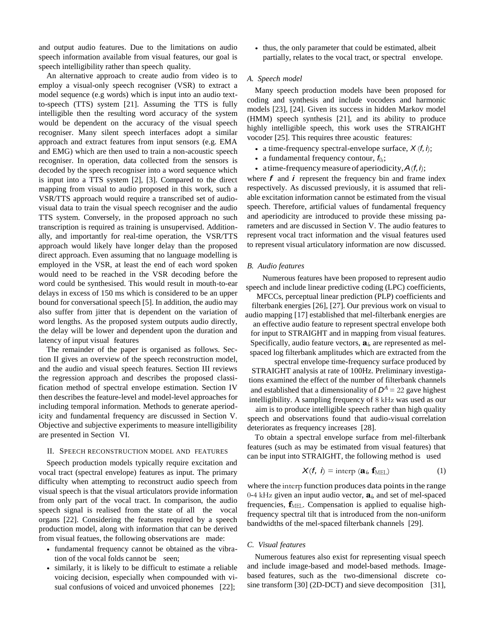and output audio features. Due to the limitations on audio speech information available from visual features, our goal is speech intelligibility rather than speech quality.

An alternative approach to create audio from video is to employ a visual-only speech recogniser (VSR) to extract a model sequence (e.g words) which is input into an audio textto-speech (TTS) system [21]. Assuming the TTS is fully intelligible then the resulting word accuracy of the system would be dependent on the accuracy of the visual speech recogniser. Many silent speech interfaces adopt a similar approach and extract features from input sensors (e.g. EMA and EMG) which are then used to train a non-acoustic speech recogniser. In operation, data collected from the sensors is decoded by the speech recogniser into a word sequence which is input into a TTS system [2], [3]. Compared to the direct mapping from visual to audio proposed in this work, such a VSR/TTS approach would require a transcribed set of audiovisual data to train the visual speech recogniser and the audio TTS system. Conversely, in the proposed approach no such transcription is required as training is unsupervised. Additionally, and importantly for real-time operation, the VSR/TTS approach would likely have longer delay than the proposed direct approach. Even assuming that no language modelling is employed in the VSR, at least the end of each word spoken would need to be reached in the VSR decoding before the word could be synthesised. This would result in mouth-to-ear delays in excess of 150 ms which is considered to be an upper bound for conversational speech [5]. In addition, the audio may also suffer from jitter that is dependent on the variation of word lengths. As the proposed system outputs audio directly, the delay will be lower and dependent upon the duration and latency of input visual features

The remainder of the paper is organised as follows. Section II gives an overview of the speech reconstruction model, and the audio and visual speech features. Section III reviews the regression approach and describes the proposed classification method of spectral envelope estimation. Section IV then describes the feature-level and model-level approaches for including temporal information. Methods to generate aperiodicity and fundamental frequency are discussed in Section V. Objective and subjective experiments to measure intelligibility are presented in Section VI.

## II. SPEECH RECONSTRUCTION MODEL AND FEATURES

Speech production models typically require excitation and vocal tract (spectral envelope) features as input. The primary difficulty when attempting to reconstruct audio speech from visual speech is that the visual articulators provide information from only part of the vocal tract. In comparison, the audio speech signal is realised from the state of all the vocal organs [22]. Considering the features required by a speech production model, along with information that can be derived from visual featues, the following observations are made:

- *•* fundamental frequency cannot be obtained as the vibration of the vocal folds cannot be seen;
- *•* similarly, it is likely to be difficult to estimate a reliable voicing decision, especially when compounded with visual confusions of voiced and unvoiced phonemes [22];

• thus, the only parameter that could be estimated, albeit partially, relates to the vocal tract, or spectral envelope.

# *A. Speech model*

Many speech production models have been proposed for coding and synthesis and include vocoders and harmonic models [23], [24]. Given its success in hidden Markov model (HMM) speech synthesis [21], and its ability to produce highly intelligible speech, this work uses the STRAIGHT vocoder [25]. This requires three acoustic features:

- a time-frequency spectral-envelope surface,  $X(f, h)$ ;
- a fundamental frequency contour,  $f_{0i}$ ;
- a time-frequency measure of aperiodicity,  $A(f, i)$ ;

where  $f$  and  $i$  represent the frequency bin and frame index respectively. As discussed previously, it is assumed that reliable excitation information cannot be estimated from the visual speech. Therefore, artificial values of fundamental frequency and aperiodicity are introduced to provide these missing parameters and are discussed in Section V. The audio features to represent vocal tract information and the visual features used to represent visual articulatory information are now discussed.

#### *B. Audio features*

Numerous features have been proposed to represent audio speech and include linear predictive coding (LPC) coefficients,

MFCCs, perceptual linear prediction (PLP) coefficients and filterbank energies [26], [27]. Our previous work on visual to audio mapping [17] established that mel-filterbank energies are an effective audio feature to represent spectral envelope both for input to STRAIGHT and in mapping from visual features. Specifically, audio feature vectors, **a***i*, are represented as melspaced log filterbank amplitudes which are extracted from the

spectral envelope time-frequency surface produced by STRAIGHT analysis at rate of 100Hz. Preliminary investigations examined the effect of the number of filterbank channels and established that a dimensionality of  $D^A = 22$  gave highest intelligibility. A sampling frequency of 8 kHz was used as our

aim is to produce intelligible speech rather than high quality speech and observations found that audio-visual correlation deteriorates as frequency increases [28].

To obtain a spectral envelope surface from mel-filterbank features (such as may be estimated from visual features) that can be input into STRAIGHT, the following method is used

$$
X(f, i) = \text{interp} (a_i, f_{\text{MEL}})
$$
 (1)

where the interp function produces data points in the range 0-4 kHz given an input audio vector, **a***i*, and set of mel-spaced frequencies,  $\mathbf{f}_{\text{MEL}}$ . Compensation is applied to equalise highfrequency spectral tilt that is introduced from the non-uniform bandwidths of the mel-spaced filterbank channels [29].

#### *C. Visual features*

Numerous features also exist for representing visual speech and include image-based and model-based methods. Imagebased features, such as the two-dimensional discrete cosine transform [30] (2D-DCT) and sieve decomposition [31],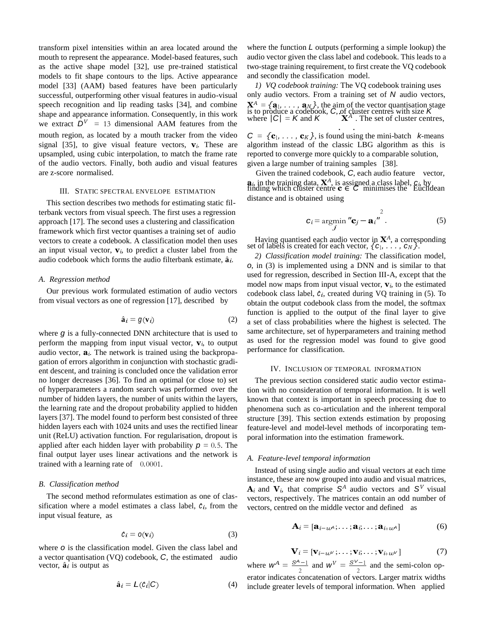transform pixel intensities within an area located around the mouth to represent the appearance. Model-based features, such as the active shape model [32], use pre-trained statistical models to fit shape contours to the lips. Active appearance model [33] (AAM) based features have been particularly successful, outperforming other visual features in audio-visual speech recognition and lip reading tasks [34], and combine shape and appearance information. Consequently, in this work we extract  $\overline{D}^V$  = 13 dimensional AAM features from the mouth region, as located by a mouth tracker from the video signal [35], to give visual feature vectors,  $\mathbf{v}_i$ . These are upsampled, using cubic interpolation, to match the frame rate of the audio vectors. Finally, both audio and visual features are z-score normalised.

# III. STATIC SPECTRAL ENVELOPE ESTIMATION

This section describes two methods for estimating static filterbank vectors from visual speech. The first uses a regression approach [17]. The second uses a clustering and classification framework which first vector quantises a training set of audio vectors to create a codebook. A classification model then uses an input visual vector,  $\mathbf{v}_i$ , to predict a cluster label from the audio codebook which forms the audio filterbank estimate,  $\hat{a}_i$ .

#### *A. Regression method*

Our previous work formulated estimation of audio vectors from visual vectors as one of regression [17], described by

$$
\hat{\mathbf{a}}_i = g(\mathbf{v}_i) \tag{2}
$$

where *g* is a fully-connected DNN architecture that is used to perform the mapping from input visual vector,  $\mathbf{v}_i$ , to output audio vector,  $a_i$ . The network is trained using the backpropagation of errors algorithm in conjunction with stochastic gradient descent, and training is concluded once the validation error no longer decreases [36]. To find an optimal (or close to) set of hyperparameters a random search was performed over the number of hidden layers, the number of units within the layers, the learning rate and the dropout probability applied to hidden layers [37]. The model found to perform best consisted of three hidden layers each with 1024 units and uses the rectified linear unit (ReLU) activation function. For regularisation, dropout is applied after each hidden layer with probability  $p = 0.5$ . The final output layer uses linear activations and the network is trained with a learning rate of 0*.*0001.

## *B. Classification method*

The second method reformulates estimation as one of classification where a model estimates a class label,  $\hat{c}_i$ , from the input visual feature, as

$$
\hat{c}_i = o(\mathbf{v}_i) \tag{3}
$$

where *o* is the classification model. Given the class label and a vector quantisation (VQ) codebook, *C*, the estimated audio vector,  $\hat{a}_i$  is output as

$$
\hat{\mathbf{a}}_i = L(\hat{c}_i | C) \tag{4}
$$

where the function *L* outputs (performing a simple lookup) the audio vector given the class label and codebook. This leads to a two-stage training requirement, to first create the VQ codebook and secondly the classification model.

*1) VQ codebook training:* The VQ codebook training uses only audio vectors. From a training set of *N* audio vectors,  $X^A = {\bf{a_1, \ldots, a_N}}$ , the aim of the vector quantisation stage<br>is to produce a codebook, C, of cluster centres with size K<br>where  $|C| = K$  and K  $X^A$ . The set of cluster centres, . The set of cluster centres, . .

 $C = \{c_1, \ldots, c_K\}$ , is found using the mini-batch *k*-means algorithm instead of the classic LBG algorithm as this is reported to converge more quickly to a comparable solution, given a large number of training samples [38].

Given the trained codebook, *C*, each audio feature vector, **a**<sub>*i*</sub>, in the training data, **X**<sup>*A*</sup>, is assigned a class label,  $C_i$ , by finding which cluster centre **c** ∈ *C* minimises the Euclidean distance and is obtained using

$$
\mathbf{c}_i = \operatorname*{argmin}_{\mathbf{j}} \mathbf{''c}_j - \mathbf{a}_i \mathbf{''}.
$$
 (5)

Having quantised each audio vector in **X***<sup>A</sup>*, a corresponding set of labels is created for each vector,  $\{c_1, \ldots, c_N\}$ .

*2) Classification model training:* The classification model, *o*, in (3) is implemented using a DNN and is similar to that used for regression, described in Section III-A, except that the model now maps from input visual vector,  $\mathbf{v}_i$ , to the estimated codebook class label,  $\hat{c}_i$ , created during VQ training in  $(5)$ . To obtain the output codebook class from the model, the softmax function is applied to the output of the final layer to give a set of class probabilities where the highest is selected. The same architecture, set of hyperparameters and training method as used for the regression model was found to give good performance for classification.

## IV. INCLUSION OF TEMPORAL INFORMATION

The previous section considered static audio vector estimation with no consideration of temporal information. It is well known that context is important in speech processing due to phenomena such as co-articulation and the inherent temporal structure [39]. This section extends estimation by proposing feature-level and model-level methods of incorporating temporal information into the estimation framework.

# *A. Feature-level temporal information*

Instead of using single audio and visual vectors at each time instance, these are now grouped into audio and visual matrices,  $A_i$  and  $V_i$ , that comprise  $S^A$  audio vectors and  $S^V$  visual vectors, respectively. The matrices contain an odd number of vectors, centred on the middle vector and defined as

$$
\mathbf{A}_{i} = [\mathbf{a}_{i-w}A, \dots, \mathbf{a}_{i}, \dots, \mathbf{a}_{i+w}A] \tag{6}
$$

$$
\mathbf{V}_{i} = [\mathbf{v}_{i-w} \, \ldots, \mathbf{v}_{i}, \ldots, \mathbf{v}_{i+w} \, \ldots, \mathbf{v}_{i+w} \, \ldots \, \tag{7}
$$

 $\frac{S^{\mathcal{A}}-1}{2}$  and  $W^V = \frac{S^V-1}{2}$  and the semi-colon operator indicates concatenation of vectors. Larger matrix widths include greater levels of temporal information. When applied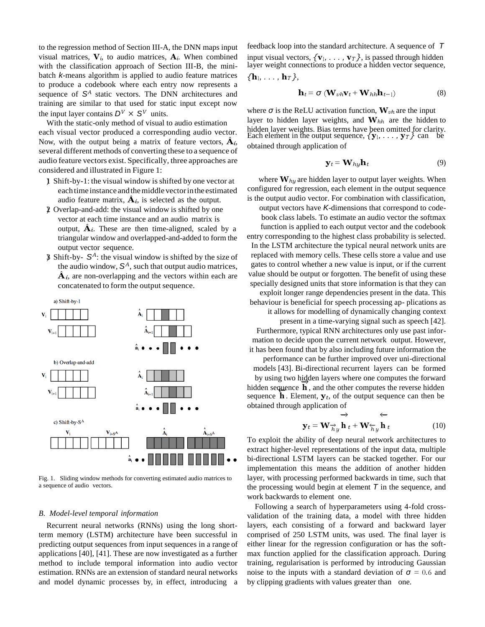to the regression method of Section III-A, the DNN maps input visual matrices,  $V_i$ , to audio matrices,  $A_i$ . When combined with the classification approach of Section III-B, the minibatch *k*-means algorithm is applied to audio feature matrices to produce a codebook where each entry now represents a sequence of  $S<sup>A</sup>$  static vectors. The DNN architectures and training are similar to that used for static input except now the input layer contains  $D^V \times S^V$  units.

With the static-only method of visual to audio estimation each visual vector produced a corresponding audio vector. Now, with the output being a matrix of feature vectors,  $\hat{A}_i$ , several different methods of converting these to a sequence of audio feature vectors exist. Specifically, three approaches are considered and illustrated in Figure 1:

- 1) Shift-by-1: the visual window isshifted by one vector at eachtime instance andthemiddlevectorinthe estimated audio feature matrix,  $\hat{A}_i$ , is selected as the output.
- 2) Overlap-and-add: the visual window is shifted by one vector at each time instance and an audio matrix is  $\Delta i$ . These are then time-aligned, scaled by a triangular window and overlapped-and-added to form the output vector sequence.
- 3) Shift-by- *S <sup>A</sup>*: the visual window is shifted by the size of the audio window, *S <sup>A</sup>*, such that output audio matrices,  $\hat{A}_i$ , are non-overlapping and the vectors within each are concatenated to form the output sequence.



Fig. 1. Sliding window methods for converting estimated audio matrices to a sequence of audio vectors.

#### *B. Model-level temporal information*

Recurrent neural networks (RNNs) using the long shortterm memory (LSTM) architecture have been successful in predicting output sequences from input sequences in a range of applications [40], [41]. These are now investigated as a further method to include temporal information into audio vector estimation. RNNs are an extension of standard neural networks and model dynamic processes by, in effect, introducing a

feedback loop into the standard architecture. A sequence of *T* input visual vectors,  $\{v_1, \ldots, v_T\}$ , is passed through hidden layer weight connections to produce a hidden vector sequence, *{***h**1*, . . . ,* **h***T }*,

$$
\mathbf{h}_t = \boldsymbol{\sigma} \left( \mathbf{W}_{vh} \mathbf{v}_t + \mathbf{W}_{hh} \mathbf{h}_{t-1} \right) \tag{8}
$$

where *σ* is the ReLU activation function, **W***vh* are the input layer to hidden layer weights, and **W***hh* are the hidden to hidden layer weights. Bias terms have been omitted for clarity. Each element in the output sequence, *{***y**1*, . . . ,* **y***T }* can be obtained through application of

$$
\mathbf{y}_t = \mathbf{W}_{hy}\mathbf{h}_t \tag{9}
$$

where  $\mathbf{W}_{h}$  are hidden layer to output layer weights. When configured for regression, each element in the output sequence is the output audio vector. For combination with classification,

output vectors have *K*-dimensions that correspond to codebook class labels. To estimate an audio vector the softmax function is applied to each output vector and the codebook entry corresponding to the highest class probability is selected. In the LSTM architecture the typical neural network units are replaced with memory cells. These cells store a value and use gates to control whether a new value is input, or if the current value should be output or forgotten. The benefit of using these specially designed units that store information is that they can exploit longer range dependencies present in the data. This

behaviour is beneficial for speech processing ap- plications as it allows for modelling of dynamically changing context present in a time-varying signal such as speech [42].

Furthermore, typical RNN architectures only use past information to decide upon the current network output. However, it has been found that by also including future information the

performance can be further improved over uni-directional models [43]. Bi-directional recurrent layers can be formed by using two hidden layers where one computes the forward hidden sequence **h**, and the other computes the reverse hidden sequence **h** *<sup>−</sup>*. Element, **<sup>y</sup>***t*, of the output sequence can then be obtained through application of

$$
\mathbf{y}_t = \mathbf{W}_{\mathcal{H}_y} \mathbf{h}_t + \mathbf{W}_{\mathcal{H}_y} \mathbf{h}_t
$$
 (10)

To exploit the ability of deep neural network architectures to extract higher-level representations of the input data, multiple bi-directional LSTM layers can be stacked together. For our implementation this means the addition of another hidden layer, with processing performed backwards in time, such that the processing would begin at element  $\bar{T}$  in the sequence, and work backwards to element one.

Following a search of hyperparameters using 4-fold crossvalidation of the training data, a model with three hidden layers, each consisting of a forward and backward layer comprised of 250 LSTM units, was used. The final layer is either linear for the regression configuration or has the softmax function applied for the classification approach. During training, regularisation is performed by introducing Gaussian noise to the inputs with a standard deviation of  $\sigma = 0.6$  and by clipping gradients with values greater than one.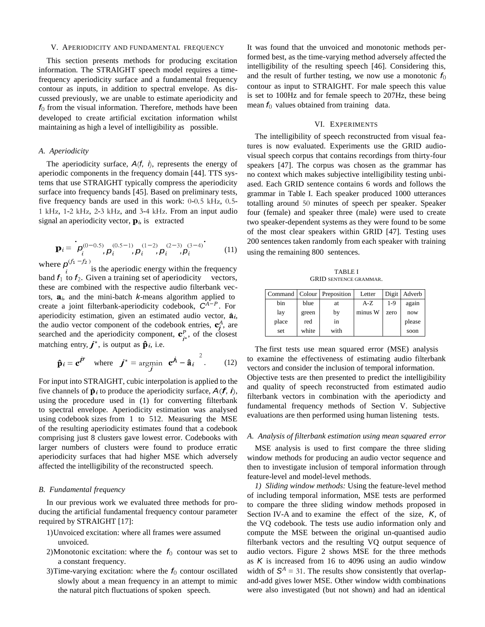#### V. APERIODICITY AND FUNDAMENTAL FREQUENCY

This section presents methods for producing excitation information. The STRAIGHT speech model requires a timefrequency aperiodicity surface and a fundamental frequency contour as inputs, in addition to spectral envelope. As discussed previously, we are unable to estimate aperiodicity and *f*0 from the visual information. Therefore, methods have been developed to create artificial excitation information whilst maintaining as high a level of intelligibility as possible.

# *A. Aperiodicity*

The aperiodicity surface,  $A(f, i)$ , represents the energy of aperiodic components in the frequency domain [44]. TTS systems that use STRAIGHT typically compress the aperiodicity surface into frequency bands [45]. Based on preliminary tests, five frequency bands are used in this work: 0-0*.*5 kHz, 0*.*5- 1 kHz, 1-2 kHz, 2-3 kHz, and 3-4 kHz. From an input audio signal an aperiodicity vector,  $\mathbf{p}_i$ , is extracted

$$
\mathbf{p}_{i} = \left[ \boldsymbol{p}_{i}^{(0-0.5)}, \boldsymbol{p}_{i}^{(0.5-1)}, \boldsymbol{p}_{i}^{(1-2)}, \boldsymbol{p}_{i}^{(2-3)}, \boldsymbol{p}_{i}^{(3-4)} \right] \tag{11}
$$

the audio vector component of the codebook entries,  $\mathbf{c}_j^A$ , are searched and the aperiodicity component,  $\mathbf{c}_{i^*}^P$ , of the closest where *p* (*f*1 *−f*2 ) is the aperiodic energy within the frequency band  $f_1$  to  $f_2$ . Given a training set of aperiodicity vectors, these are combined with the respective audio filterbank vectors,  $a_i$ , and the mini-batch *k*-means algorithm applied to create a joint filterbank-aperiodicity codebook, *C<sup>A</sup>−<sup>P</sup>*. For aperiodicity estimation, given an estimated audio vector,  $\hat{a}_i$ ,  $\text{matching entry}, \, \hat{\textbf{\textit{f}}}\text{'}$ , is output as  $\hat{\textbf{p}}_i$ , i.e.

$$
\hat{\mathbf{p}}_i = \mathbf{c}^{\vec{P}}
$$
 where  $\vec{J}^* = \underset{j}{\text{argmin}} \mathbf{c}^{\vec{A}} - \hat{\mathbf{a}}_i^2$ . (12)

For input into STRAIGHT, cubic interpolation is applied to the five channels of  $\hat{\mathbf{p}}_i$  to produce the aperiodicity surface,  $A(f, i)$ , using the procedure used in (1) for converting filterbank to spectral envelope. Aperiodicity estimation was analysed using codebook sizes from 1 to 512. Measuring the MSE of the resulting aperiodicity estimates found that a codebook comprising just 8 clusters gave lowest error. Codebooks with larger numbers of clusters were found to produce erratic aperiodicity surfaces that had higher MSE which adversely affected the intelligibility of the reconstructed speech.

## *B. Fundamental frequency*

In our previous work we evaluated three methods for producing the artificial fundamental frequency contour parameter required by STRAIGHT [17]:

- 1)Unvoiced excitation: where all frames were assumed unvoiced.
- 2)Monotonic excitation: where the  $f_0$  contour was set to a constant frequency.
- 3) Time-varying excitation: where the  $f_0$  contour oscillated slowly about a mean frequency in an attempt to mimic the natural pitch fluctuations of spoken speech.

It was found that the unvoiced and monotonic methods performed best, as the time-varying method adversely affected the intelligibility of the resulting speech [46]. Considering this, and the result of further testing, we now use a monotonic  $f_0$ contour as input to STRAIGHT. For male speech this value is set to 100Hz and for female speech to 207Hz, these being mean  $f_0$  values obtained from training data.

# VI. EXPERIMENTS

The intelligibility of speech reconstructed from visual features is now evaluated. Experiments use the GRID audiovisual speech corpus that contains recordings from thirty-four speakers [47]. The corpus was chosen as the grammar has no context which makes subjective intelligibility testing unbiased. Each GRID sentence contains 6 words and follows the grammar in Table I. Each speaker produced 1000 utterances totalling around 50 minutes of speech per speaker. Speaker four (female) and speaker three (male) were used to create two speaker-dependent systems as they were found to be some of the most clear speakers within GRID [47]. Testing uses 200 sentences taken randomly from each speaker with training using the remaining 800 sentences.

TABLE I GRID SENTENCE GRAMMAR.

|       |       | Command   Colour   Preposition | Letter  | Digit | Adverb |
|-------|-------|--------------------------------|---------|-------|--------|
| bin   | blue  | at                             | $A-Z$   | $1-9$ | again  |
| lay   | green | by                             | minus W | zero  | now    |
| place | red   | in                             |         |       | please |
| set   | white | with                           |         |       | soon   |

The first tests use mean squared error (MSE) analysis to examine the effectiveness of estimating audio filterbank vectors and consider the inclusion of temporal information. Objective tests are then presented to predict the intelligibility and quality of speech reconstructed from estimated audio filterbank vectors in combination with the aperiodicty and fundamental frequency methods of Section V. Subjective evaluations are then performed using human listening tests.

#### *A. Analysis of filterbank estimation using mean squared error*

MSE analysis is used to first compare the three sliding window methods for producing an audio vector sequence and then to investigate inclusion of temporal information through feature-level and model-level methods.

*1) Sliding window methods:* Using the feature-level method of including temporal information, MSE tests are performed to compare the three sliding window methods proposed in Section IV-A and to examine the effect of the size, *K*, of the VQ codebook. The tests use audio information only and compute the MSE between the original un-quantised audio filterbank vectors and the resulting VQ output sequence of audio vectors. Figure 2 shows MSE for the three methods as *K* is increased from 16 to 4096 using an audio window width of  $S^A = 31$ . The results show consistently that overlapand-add gives lower MSE. Other window width combinations were also investigated (but not shown) and had an identical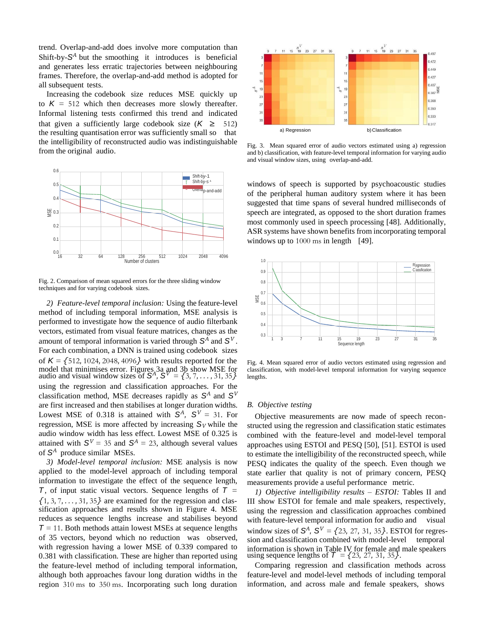trend. Overlap-and-add does involve more computation than Shift-by- $S^A$  but the smoothing it introduces is beneficial and generates less erratic trajectories between neighbouring frames. Therefore, the overlap-and-add method is adopted for all subsequent tests.

Increasing the codebook size reduces MSE quickly up to  $K = 512$  which then decreases more slowly thereafter. Informal listening tests confirmed this trend and indicated that given a sufficiently large codebook size  $(K \geq 512)$ the resulting quantisation error was sufficiently small so that the intelligibility of reconstructed audio was indistinguishable from the original audio.



Fig. 2. Comparison of mean squared errors for the three sliding window techniques and for varying codebook sizes.

*2) Feature-level temporal inclusion:* Using the feature-level method of including temporal information, MSE analysis is performed to investigate how the sequence of audio filterbank vectors, estimated from visual feature matrices, changes as the amount of temporal information is varied through  $S^A$  and  $S^V$ . For each combination, a DNN is trained using codebook sizes of *K* = *{*512*,* 1024*,* 2048*,* 4096*}* with results reported for the model that minimises error. Figures 3a and 3b show MSE for audio and visual window sizes of  $S^A$ ,  $S^V = \{3, 7, \ldots, 31, 35\}$ using the regression and classification approaches. For the classification method, MSE decreases rapidly as  $S^A$  and  $S^V$ are first increased and then stabilises at longer duration widths. Lowest MSE of 0.318 is attained with  $S^A$ ,  $S^V = 31$ . For regression, MSE is more affected by increasing  $S_V$  while the audio window width has less effect. Lowest MSE of 0.325 is attained with  $S^V = 35$  and  $S^A = 23$ , although several values of  $S^A$  produce similar MSEs.

*3) Model-level temporal inclusion:* MSE analysis is now applied to the model-level approach of including temporal information to investigate the effect of the sequence length, *T*, of input static visual vectors. Sequence lengths of *T* =  $\{1, 3, 7, \ldots, 31, 35\}$  are examined for the regression and classification approaches and results shown in Figure 4. MSE reduces as sequence lengths increase and stabilises beyond  $T = 11$ . Both methods attain lowest MSEs at sequence lengths of 35 vectors, beyond which no reduction was observed, with regression having a lower MSE of 0.339 compared to 0.381 with classification. These are higher than reported using the feature-level method of including temporal information, although both approaches favour long duration widths in the region 310 ms to 350 ms. Incorporating such long duration



Fig. 3. Mean squared error of audio vectors estimated using a) regression and b) classification, with feature-level temporal information for varying audio and visual window sizes, using overlap-and-add.

windows of speech is supported by psychoacoustic studies of the peripheral human auditory system where it has been suggested that time spans of several hundred milliseconds of speech are integrated, as opposed to the short duration frames most commonly used in speech processing [48]. Additionally, ASR systems have shown benefits from incorporating temporal windows up to  $1000 \text{ ms}$  in length [49].



Fig. 4. Mean squared error of audio vectors estimated using regression and classification, with model-level temporal information for varying sequence lengths.

#### *B. Objective testing*

Objective measurements are now made of speech reconstructed using the regression and classification static estimates combined with the feature-level and model-level temporal approaches using ESTOI and PESQ [50], [51]. ESTOI is used to estimate the intelligibility of the reconstructed speech, while PESQ indicates the quality of the speech. Even though we state earlier that quality is not of primary concern, PESQ measurements provide a useful performance metric. <sup>22</sup> as<br>
<sup>34</sup><br>
<sup>34</sup><br>
<sup>34</sup><br>
<sup>5</sup><br>
<sup>5</sup><br>
<sup>5</sup><br>
<sup>5</sup><br>
<sup>5</sup><br>
<sup>5</sup><br>
Fig. 4. Mean squared error of audio vectors estimated using regression and<br>
classification, with model-level temporal information for varying sequence<br>
lengths.<br> *B* 

*1) Objective intelligibility results – ESTOI:* Tables II and III show ESTOI for female and male speakers, respectively, using the regression and classification approaches combined with feature-level temporal information for audio and visual window sizes of  $S^A$ ,  $S^V = \{23, 27, 31, 35\}$ . ESTOI for regression and classification combined with model-level temporal information is shown in Table IV for female and male speakers using sequence lengths of *T* = *{*23*,* 27*,* 31*,* 35*}*.

Comparing regression and classification methods across feature-level and model-level methods of including temporal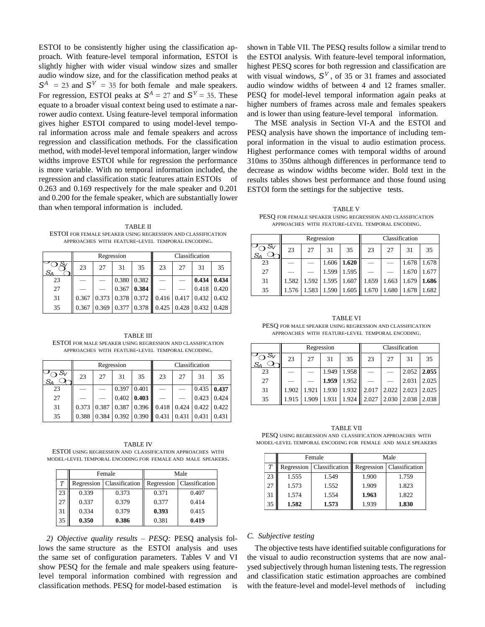ESTOI to be consistently higher using the classification approach. With feature-level temporal information, ESTOI is slightly higher with wider visual window sizes and smaller audio window size, and for the classification method peaks at  $S^A$  = 23 and  $S^V$  = 35 for both female and male speakers. For regression, ESTOI peaks at  $S^A = 27$  and  $S^V = 35$ . These equate to a broader visual context being used to estimate a narrower audio context. Using feature-level temporal information gives higher ESTOI compared to using model-level temporal information across male and female speakers and across regression and classification methods. For the classification method, with model-level temporal information, larger window widths improve ESTOI while for regression the performance is more variable. With no temporal information included, the regression and classification static features attain ESTOIs of 0.263 and 0.169 respectively for the male speaker and 0.201 and 0.200 for the female speaker, which are substantially lower than when temporal information is included.

TABLE II ESTOI FOR FEMALE SPEAKER USING REGRESSION AND CLASSIFICATION APPROACHES WITH FEATURE-LEVEL TEMPORAL ENCODING.

|    |       |       | Regression |                   | Classification                        |                     |       |       |
|----|-------|-------|------------|-------------------|---------------------------------------|---------------------|-------|-------|
| SΔ | 23    | 27    | 31         | 35                | 23                                    | 27                  | 31    | 35    |
| 23 |       |       | 0.380      | 0.382             |                                       |                     | 0.434 | 0.434 |
| 27 |       |       | 0.367      | 0.384             |                                       |                     | 0.418 | 0.420 |
| 31 | 0.367 | 0.373 |            |                   | $0.378$ 0.372 0.416 0.417 0.432 0.432 |                     |       |       |
| 35 | 0.367 | 0.369 |            | 0.377 0.378 0.425 |                                       | $0.428$ 0.432 0.428 |       |       |

TABLE III ESTOI FOR MALE SPEAKER USING REGRESSION AND CLASSIFICATION APPROACHES WITH FEATURE-LEVEL TEMPORAL ENCODING.

|                |       |       | Regression |                         | Classification                                                            |    |               |       |
|----------------|-------|-------|------------|-------------------------|---------------------------------------------------------------------------|----|---------------|-------|
| $S_V$<br>$S_A$ | 23    | 27    | 31         | 35                      | 23                                                                        | 27 | 31            | 35    |
| 23             |       |       | 0.397      | 0.401                   |                                                                           |    | $0.435$ 0.437 |       |
| 27             |       |       |            | $0.402 \mid 0.403 \mid$ |                                                                           |    | 0.423         | 0.424 |
| 31             | 0.373 | 0.387 |            |                         | $\vert 0.387 \vert 0.396 \vert 0.418 \vert 0.424 \vert 0.422 \vert 0.422$ |    |               |       |
| 35             | 0.388 | 0.384 |            |                         | $\vert 0.392 \vert 0.390 \vert 0.431 \vert 0.431 \vert 0.431 \vert 0.431$ |    |               |       |

TABLE IV ESTOI USING REGRESSION AND CLASSIFICATION APPROACHES WITH MODEL-LEVEL TEMPORAL ENCODING FOR FEMALE AND MALE SPEAKERS.

|    |       | Female                      | Male  |                             |  |
|----|-------|-----------------------------|-------|-----------------------------|--|
| T  |       | Regression   Classification |       | Regression   Classification |  |
| 23 | 0.339 | 0.373                       | 0.371 | 0.407                       |  |
| 27 | 0.337 | 0.379                       | 0.377 | 0.414                       |  |
| 31 | 0.334 | 0.379                       | 0.393 | 0.415                       |  |
| 35 | 0.350 | 0.386                       | 0.381 | 0.419                       |  |

*2) Objective quality results – PESQ:* PESQ analysis follows the same structure as the ESTOI analysis and uses the same set of configuration parameters. Tables V and VI show PESQ for the female and male speakers using featurelevel temporal information combined with regression and classification methods. PESQ for model-based estimation is

shown in Table VII. The PESQ results follow a similar trend to the ESTOI analysis. With feature-level temporal information, highest PESQ scores for both regression and classification are with visual windows,  $S^V$ , of 35 or 31 frames and associated audio window widths of between 4 and 12 frames smaller. PESQ for model-level temporal information again peaks at higher numbers of frames across male and females speakers and is lower than using feature-level temporal information.

The MSE analysis in Section VI-A and the ESTOI and PESQ analysis have shown the importance of including temporal information in the visual to audio estimation process. Highest performance comes with temporal widths of around 310ms to 350ms although differences in performance tend to decrease as window widths become wider. Bold text in the results tables shows best performance and those found using ESTOI form the settings for the subjective tests.

TABLE V PESQ FOR FEMALE SPEAKER USING REGRESSION AND CLASSIFICATION APPROACHES WITH FEATURE-LEVEL TEMPORAL ENCODING.

|    |       |       | Regression |                   | Classification |       |       |       |  |
|----|-------|-------|------------|-------------------|----------------|-------|-------|-------|--|
|    | 23    | 27    | 31         | 35                | 23             | 27    | 31    | 35    |  |
| 23 |       |       | 1.606      | 1.620             |                |       | 1.678 | 1.678 |  |
| 27 |       |       | 1.599      | 1.595             |                |       | 1.670 | 1.677 |  |
| 31 | 1.582 | 1.592 | 1.595      | 1.607             | 1.659          | 1.663 | 1.679 | 1.686 |  |
| 35 | 1.576 | 1.583 |            | 1.590 1.605 1.670 |                | 1.680 | 1.678 | 1.682 |  |

TABLE VI PESQ FOR MALE SPEAKER USING REGRESSION AND CLASSIFICATION APPROACHES WITH FEATURE-LEVEL TEMPORAL ENCODING.

|    |       |       | Regression |             | Classification |       |       |       |
|----|-------|-------|------------|-------------|----------------|-------|-------|-------|
|    | 23    | 27    | 31         | 35          | 23             | 27    | 31    | 35    |
| 23 |       |       | 1.949      | 1.958       |                |       | 2.052 | 2.055 |
| 27 |       |       | 1.959      | 1.952       |                |       | 2.031 | 2.025 |
| 31 | 1.902 | 1.921 | 1.930      |             | 1.932 2.017    | 2.022 | 2.023 | 2.025 |
| 35 | 1.915 | 1.909 | 1.931      | 1.924 2.027 |                | 2.030 | 2.038 | 2.038 |

TABLE VII PESQ USING REGRESSION AND CLASSIFICATION APPROACHES WITH MODEL-LEVEL TEMPORAL ENCODING FOR FEMALE AND MALE SPEAKERS

|    |       | Female                      | Male  |                             |  |
|----|-------|-----------------------------|-------|-----------------------------|--|
| T  |       | Regression   Classification |       | Regression   Classification |  |
| 23 | 1.555 | 1.549                       | 1.900 | 1.759                       |  |
| 27 | 1.573 | 1.552                       | 1.909 | 1.823                       |  |
| 31 | 1.574 | 1.554                       | 1.963 | 1.822                       |  |
| 35 | 1.582 | 1.573                       | 1.939 | 1.830                       |  |

### *C. Subjective testing*

The objective tests have identified suitable configurations for the visual to audio reconstruction systems that are now analysed subjectively through human listening tests. The regression and classification static estimation approaches are combined with the feature-level and model-level methods of including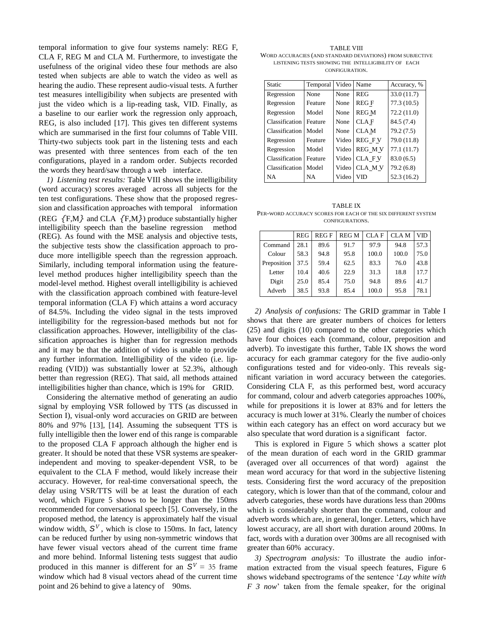temporal information to give four systems namely: REG F, CLA F, REG M and CLA M. Furthermore, to investigate the usefulness of the original video these four methods are also tested when subjects are able to watch the video as well as hearing the audio. These represent audio-visual tests. A further test measures intelligibility when subjects are presented with just the video which is a lip-reading task, VID. Finally, as a baseline to our earlier work the regression only approach, REG, is also included [17]. This gives ten different systems which are summarised in the first four columns of Table VIII. Thirty-two subjects took part in the listening tests and each was presented with three sentences from each of the ten configurations, played in a random order. Subjects recorded the words they heard/saw through a web interface.

*1) Listening test results:* Table VIII shows the intelligibility (word accuracy) scores averaged across all subjects for the ten test configurations. These show that the proposed regression and classification approaches with temporal information (REG *{*F,M*}* and CLA *{*F,M*}*) produce substantially higher intelligibility speech than the baseline regression method (REG). As found with the MSE analysis and objective tests, the subjective tests show the classification approach to produce more intelligible speech than the regression approach. Similarly, including temporal information using the featurelevel method produces higher intelligibility speech than the model-level method. Highest overall intelligibility is achieved with the classification approach combined with feature-level temporal information (CLA F) which attains a word accuracy of 84.5%. Including the video signal in the tests improved intelligibility for the regression-based methods but not for classification approaches. However, intelligibility of the classification approaches is higher than for regression methods and it may be that the addition of video is unable to provide any further information. Intelligibility of the video (i.e. lipreading (VID)) was substantially lower at 52.3%, although better than regression (REG). That said, all methods attained intelligibilities higher than chance, which is 19% for GRID.

Considering the alternative method of generating an audio signal by employing VSR followed by TTS (as discussed in Section I), visual-only word accuracies on GRID are between 80% and 97% [13], [14]. Assuming the subsequent TTS is fully intelligible then the lower end of this range is comparable to the proposed CLA F approach although the higher end is greater. It should be noted that these VSR systems are speakerindependent and moving to speaker-dependent VSR, to be equivalent to the CLA F method, would likely increase their accuracy. However, for real-time conversational speech, the delay using VSR/TTS will be at least the duration of each word, which Figure 5 shows to be longer than the 150ms recommended for conversational speech [5]. Conversely, in the proposed method, the latency is approximately half the visual window width,  $S^V$ , which is close to 150ms. In fact, latency can be reduced further by using non-symmetric windows that have fewer visual vectors ahead of the current time frame and more behind. Informal listening tests suggest that audio produced in this manner is different for an  $S^V = 35$  frame window which had 8 visual vectors ahead of the current time point and 26 behind to give a latency of 90ms.

TABLE VIII WORD ACCURACIES (AND STANDARD DEVIATIONS) FROM SUBJECTIVE LISTENING TESTS SHOWING THE INTELLIGIBILITY OF EACH CONFIGURATION.

| Static         | Temporal | Video | Name          | Accuracy, % |
|----------------|----------|-------|---------------|-------------|
| Regression     | None     | None  | <b>REG</b>    | 33.0(11.7)  |
| Regression     | Feature  | None  | <b>REGF</b>   | 77.3(10.5)  |
| Regression     | Model    | None  | <b>REG M</b>  | 72.2(11.0)  |
| Classification | Feature  | None  | <b>CLAF</b>   | 84.5 (7.4)  |
| Classification | Model    | None  | <b>CLAM</b>   | 79.2 (7.5)  |
| Regression     | Feature  | Video | <b>REG FV</b> | 79.0 (11.8) |
| Regression     | Model    | Video | <b>REG MV</b> | 77.1 (11.7) |
| Classification | Feature  | Video | CLA FV        | 83.0(6.5)   |
| Classification | Model    | Video | CLA MV        | 79.2 (6.8)  |
| <b>NA</b>      | NA       | Video | VID           | 52.3 (16.2) |

TABLE IX PER-WORD ACCURACY SCORES FOR EACH OF THE SIX DIFFERENT SYSTEM CONFIGURATIONS.

|             | <b>REG</b> | <b>REGF</b> | <b>REGM</b> | CLA F | CLA M | VID  |
|-------------|------------|-------------|-------------|-------|-------|------|
| Command     | 28.1       | 89.6        | 91.7        | 97.9  | 94.8  | 57.3 |
| Colour      | 58.3       | 94.8        | 95.8        | 100.0 | 100.0 | 75.0 |
| Preposition | 37.5       | 59.4        | 62.5        | 83.3  | 76.0  | 43.8 |
| Letter      | 10.4       | 40.6        | 22.9        | 31.3  | 18.8  | 17.7 |
| Digit       | 25.0       | 85.4        | 75.0        | 94.8  | 89.6  | 41.7 |
| Adverb      | 38.5       | 93.8        | 85.4        | 100.0 | 95.8  | 78.1 |

*2) Analysis of confusions:* The GRID grammar in Table I shows that there are greater numbers of choices for letters (25) and digits (10) compared to the other categories which have four choices each (command, colour, preposition and adverb). To investigate this further, Table IX shows the word accuracy for each grammar category for the five audio-only configurations tested and for video-only. This reveals significant variation in word accuracy between the categories. Considering CLA F, as this performed best, word accuracy for command, colour and adverb categories approaches 100%, while for prepositions it is lower at 83% and for letters the accuracy is much lower at 31%. Clearly the number of choices within each category has an effect on word accuracy but we also speculate that word duration is a significant factor.

This is explored in Figure 5 which shows a scatter plot of the mean duration of each word in the GRID grammar (averaged over all occurrences of that word) against the mean word accuracy for that word in the subjective listening tests. Considering first the word accuracy of the preposition category, which is lower than that of the command, colour and adverb categories, these words have durations less than 200ms which is considerably shorter than the command, colour and adverb words which are, in general, longer. Letters, which have lowest accuracy, are all short with duration around 200ms. In fact, words with a duration over 300ms are all recognised with greater than 60% accuracy.

*3) Spectrogram analysis:* To illustrate the audio information extracted from the visual speech features, Figure 6 shows wideband spectrograms of the sentence '*Lay white with F 3 now*' taken from the female speaker, for the original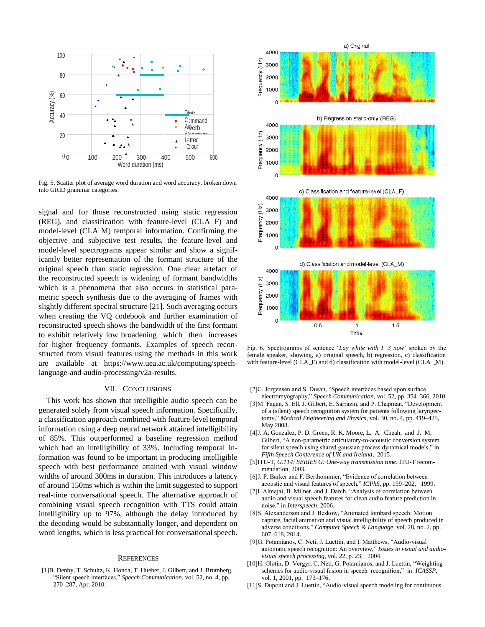

Fig. 5. Scatter plot of average word duration and word accuracy, broken down into GRID grammar categories.

signal and for those reconstructed using static regression (REG), and classification with feature-level (CLA F) and model-level (CLA M) temporal information. Confirming the objective and subjective test results, the feature-level and model-level spectrograms appear similar and show a significantly better representation of the formant structure of the original speech than static regression. One clear artefact of the reconstructed speech is widening of formant bandwidths which is a phenomena that also occurs in statistical parametric speech synthesis due to the averaging of frames with slightly different spectral structure [21]. Such averaging occurs when creating the VQ codebook and further examination of reconstructed speech shows the bandwidth of the first formant to exhibit relatively low broadening which then increases for higher frequency formants. Examples of speech reconstructed from visual features using the methods in this work are available at [https://www.uea.ac.uk/computing/speech](http://www.uea.ac.uk/computing/speech-)language-and-audio-processing/v2a-results.

## VII. CONCLUSIONS

This work has shown that intelligible audio speech can be generated solely from visual speech information. Specifically, a classification approach combined with feature-level temporal information using a deep neural network attained intelligibility of 85%. This outperformed a baseline regression method which had an intelligibility of 33%. Including temporal information was found to be important in producing intelligible speech with best performance attained with visual window widths of around 300ms in duration. This introduces a latency of around 150ms which is within the limit suggested to support real-time conversational speech. The alternative approach of combining visual speech recognition with TTS could attain intelligibility up to 97%, although the delay introduced by the decoding would be substantially longer, and dependent on word lengths, which is less practical for conversational speech.

## **REFERENCES**

[1]B. Denby, T. Schultz, K. Honda, T. Hueber, J. Gilbert, and J. Brumberg, "Silent speech interfaces," *Speech Communication*, vol. 52, no. 4, pp. 270–287, Apr. 2010.



Fig. 6. Spectrograms of sentence '*Lay white with F 3 now*' spoken by the female speaker, showing, a) original speech, b) regression, c) classification with feature-level (CLA $_F$ ) and d) classification with model-level (CLA $_M$ ).

- [2]C. Jorgensen and S. Dusan, "Speech interfaces based upon surface electromyography," *Speech Communication*, vol. 52, pp. 354–366, 2010.
- [3]M. Fagan, S. Ell, J. Gilbert, E. Sarrazin, and P. Chapman, "Development of a (silent) speech recognition system for patients following laryngectomy," *Medical Engineering and Physics*, vol. 30, no. 4, pp. 419–425, May 2008.
- [4]J. A. Gonzalez, P. D. Green, R. K. Moore, L. A. Cheah, and J. M. Gilbert, "A non-parametric articulatory-to-acoustic conversion system for silent speech using shared gaussian process dynamical models," in *Fifth Speech Conference of UK and Ireland*, 2015.
- [5]ITU-T, *G.114: SERIES G: One-way transmission time*. ITU-T recommendation, 2003.
- [6]J. P. Barker and F. Berthommier, "Evidence of correlation between acoustic and visual features of speech," *ICPhS*, pp. 199–202, 1999.
- [7] I. Almajai, B. Milner, and J. Darch, "Analysis of correlation between audio and visual speech features for clean audio feature prediction in noise." in *Interspeech*, 2006.
- [8]S. Alexanderson and J. Beskow, "Animated lombard speech: Motion capture, facial animation and visual intelligibility of speech produced in adverse conditions," *Computer Speech & Language*, vol. 28, no. 2, pp. 607–618, 2014.
- [9]G. Potamianos, C. Neti, J. Luettin, and I. Matthews, "Audio-visual automatic speech recognition: An overview," *Issues in visual and audiovisual speech processing*, vol. 22, p. 23, 2004.
- [10]H. Glotin, D. Vergyr, C. Neti, G. Potamianos, and J. Luettin, "Weighting schemes for audio-visual fusion in speech recognition," in *ICASSP*, vol. 1, 2001, pp. 173–176.
- [11]S. Dupont and J. Luettin, "Audio-visual speech modeling for continuous